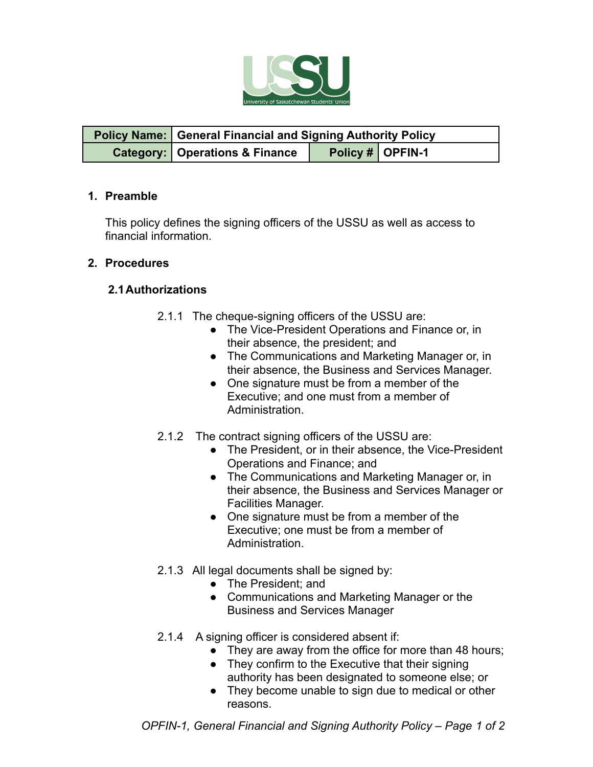

| <b>Policy Name:   General Financial and Signing Authority Policy</b> |  |                    |  |
|----------------------------------------------------------------------|--|--------------------|--|
| <b>Category:   Operations &amp; Finance</b>                          |  | Policy #   OPFIN-1 |  |

#### **1. Preamble**

This policy defines the signing officers of the USSU as well as access to financial information.

## **2. Procedures**

## **2.1Authorizations**

- 2.1.1 The cheque-signing officers of the USSU are:
	- The Vice-President Operations and Finance or, in their absence, the president; and
	- The Communications and Marketing Manager or, in their absence, the Business and Services Manager.
	- One signature must be from a member of the Executive; and one must from a member of Administration.
- 2.1.2 The contract signing officers of the USSU are:
	- The President, or in their absence, the Vice-President Operations and Finance; and
	- The Communications and Marketing Manager or, in their absence, the Business and Services Manager or Facilities Manager.
	- One signature must be from a member of the Executive; one must be from a member of Administration.
- 2.1.3 All legal documents shall be signed by:
	- The President; and
	- Communications and Marketing Manager or the Business and Services Manager
- 2.1.4 A signing officer is considered absent if:
	- They are away from the office for more than 48 hours;
	- They confirm to the Executive that their signing authority has been designated to someone else; or
	- They become unable to sign due to medical or other reasons.